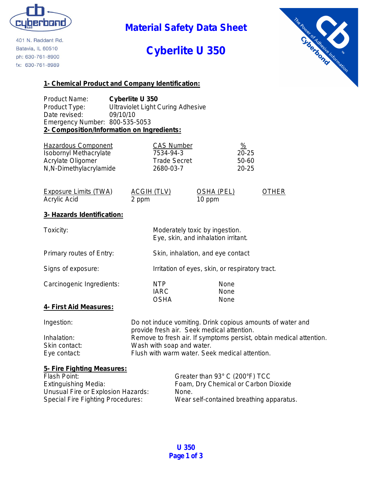

401 N. Raddant Rd. Batavia, IL 60510 ph: 630-761-8900 fx: 630-761-8989

## **Material Safety Data Sheet**

# **Cyberlite U 350**



### **1- Chemical Product and Company Identification:**

Product Name: **Cyberlite U 350** Product Type: Ultraviolet Light Curing Adhesive Date revised: 09/10/10 Emergency Number: 800-535-5053 **2- Composition/Information on Ingredients:**

| Hazardous Component           | <b>CAS Number</b>   | <u>%</u>  |
|-------------------------------|---------------------|-----------|
| <b>Isobornyl Methacrylate</b> | 7534-94-3           | $20 - 25$ |
| Acrylate Oligomer             | <b>Trade Secret</b> | 50-60     |
| N,N-Dimethylacrylamide        | 2680-03-7           | $20 - 25$ |

| Exposure Limits (TWA) | ACGIH (TLV) | OSHA (PEL) | <b>OTHER</b> |
|-----------------------|-------------|------------|--------------|
| Acrylic Acid          | 2 ppm       | 10 ppm     |              |

### **3- Hazards Identification:**

| Toxicity:                     | Moderately toxic by ingestion.<br>Eye, skin, and inhalation irritant. |                      |
|-------------------------------|-----------------------------------------------------------------------|----------------------|
| Primary routes of Entry:      | Skin, inhalation, and eye contact                                     |                      |
| Signs of exposure:            | Irritation of eyes, skin, or respiratory tract.                       |                      |
| Carcinogenic Ingredients:     | NTP.<br><b>IARC</b><br><b>OSHA</b>                                    | None<br>None<br>None |
| <u>4- First Aid Measures:</u> |                                                                       |                      |
|                               |                                                                       |                      |

| Ingestion:    | Do not induce vomiting. Drink copious amounts of water and          |
|---------------|---------------------------------------------------------------------|
|               | provide fresh air. Seek medical attention.                          |
| Inhalation:   | Remove to fresh air. If symptoms persist, obtain medical attention. |
| Skin contact: | Wash with soap and water.                                           |
| Eye contact:  | Flush with warm water. Seek medical attention.                      |

#### **5- Fire Fighting Measures:**

| Flash Point:                             | Greater than 93° C (200°F) TCC           |
|------------------------------------------|------------------------------------------|
| Extinguishing Media:                     | Foam, Dry Chemical or Carbon Dioxide     |
| Unusual Fire or Explosion Hazards:       | None.                                    |
| <b>Special Fire Fighting Procedures:</b> | Wear self-contained breathing apparatus. |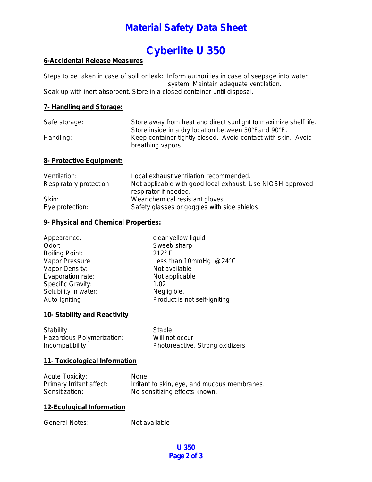### **Material Safety Data Sheet**

# **Cyberlite U 350**

### **6-Accidental Release Measures**

Steps to be taken in case of spill or leak: Inform authorities in case of seepage into water system. Maintain adequate ventilation. Soak up with inert absorbent. Store in a closed container until disposal.

#### **7- Handling and Storage:**

| Safe storage:            | Store away from heat and direct sunlight to maximize shelf life.                                                                           |  |
|--------------------------|--------------------------------------------------------------------------------------------------------------------------------------------|--|
| Handling:                | Store inside in a dry location between 50°Fand 90°F.<br>Keep container tightly closed. Avoid contact with skin. Avoid<br>breathing vapors. |  |
| 8- Protective Equipment: |                                                                                                                                            |  |
| $\lambda$ /antilation.   | been aviature distinct as essencedus less                                                                                                  |  |

| ventilation:            | Local exhaust ventilation recommended.                     |
|-------------------------|------------------------------------------------------------|
| Respiratory protection: | Not applicable with good local exhaust. Use NIOSH approved |
|                         | respirator if needed.                                      |
| Skin:                   | Wear chemical resistant gloves.                            |
| Eye protection:         | Safety glasses or goggles with side shields.               |
|                         |                                                            |

#### **9- Physical and Chemical Properties:**

| clear yellow liquid          |
|------------------------------|
| Sweet/ sharp                 |
| $212^\circ$ F                |
| Less than 10mmHg $@24°C$     |
| Not available                |
| Not applicable               |
| 1.02                         |
| Negligible.                  |
| Product is not self-igniting |
|                              |

### **10- Stability and Reactivity**

Stability: Stable<br>
Hazardous Polymerization: Will not occur Hazardous Polymerization: Incompatibility: Photoreactive. Strong oxidizers

### **11- Toxicological Information**

| <b>Acute Toxicity:</b>   | <b>None</b>                                  |
|--------------------------|----------------------------------------------|
| Primary Irritant affect: | Irritant to skin, eye, and mucous membranes. |
| Sensitization:           | No sensitizing effects known.                |

#### **12-Ecological Information**

General Notes: Not available